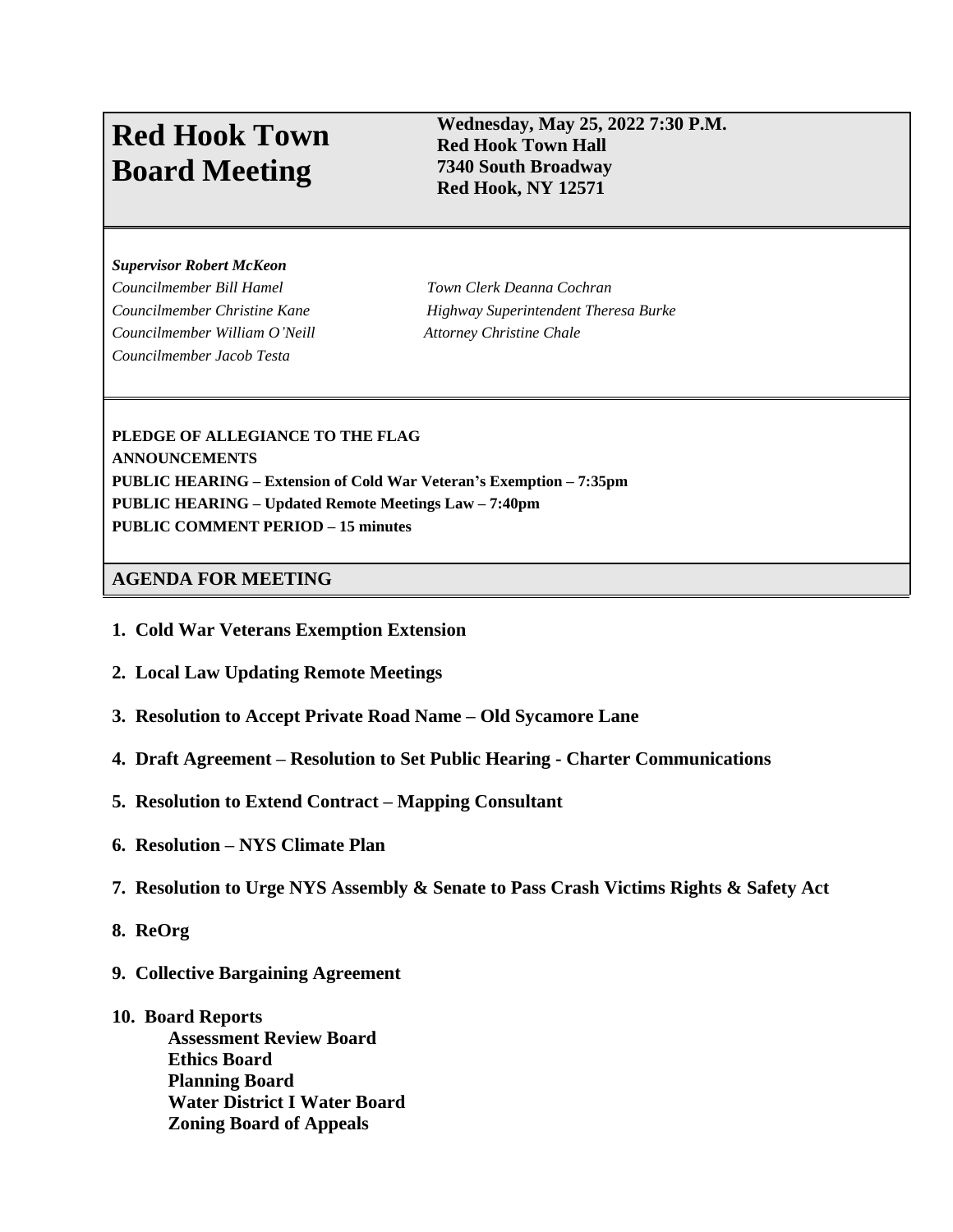# **Red Hook Town Board Meeting**

### **Wednesday, May 25, 2022 7:30 P.M. Red Hook Town Hall 7340 South Broadway Red Hook, NY 12571**

#### *Supervisor Robert McKeon*

*Councilmember Bill Hamel Town Clerk Deanna Cochran Councilmember William O'Neill Attorney Christine Chale Councilmember Jacob Testa*

*Councilmember Christine Kane Highway Superintendent Theresa Burke*

**PLEDGE OF ALLEGIANCE TO THE FLAG ANNOUNCEMENTS PUBLIC HEARING – Extension of Cold War Veteran's Exemption – 7:35pm PUBLIC HEARING – Updated Remote Meetings Law – 7:40pm PUBLIC COMMENT PERIOD – 15 minutes**

#### **AGENDA FOR MEETING**

- **1. Cold War Veterans Exemption Extension**
- **2. Local Law Updating Remote Meetings**
- **3. Resolution to Accept Private Road Name – Old Sycamore Lane**
- **4. Draft Agreement – Resolution to Set Public Hearing Charter Communications**
- **5. Resolution to Extend Contract Mapping Consultant**
- **6. Resolution – NYS Climate Plan**
- **7. Resolution to Urge NYS Assembly & Senate to Pass Crash Victims Rights & Safety Act**
- **8. ReOrg**
- **9. Collective Bargaining Agreement**
- **10. Board Reports**

**Assessment Review Board Ethics Board Planning Board Water District I Water Board Zoning Board of Appeals**